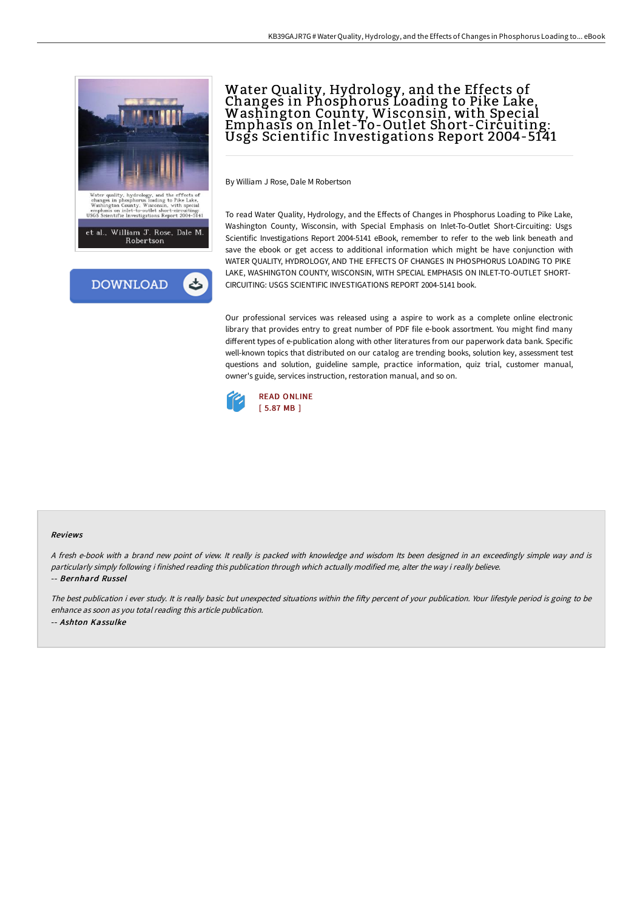



# Water Quality, Hydrology, and the Effects of Changes in Phosphorus Loading to Pike Lake,<br>Washington County, Wisconsin, with Special Emphasis on Inlet-To-Outlet Short-Circuiting: Usgs Scientific Investigations Report 2004-5141

By William J Rose, Dale M Robertson

To read Water Quality, Hydrology, and the Effects of Changes in Phosphorus Loading to Pike Lake, Washington County, Wisconsin, with Special Emphasis on Inlet-To-Outlet Short-Circuiting: Usgs Scientific Investigations Report 2004-5141 eBook, remember to refer to the web link beneath and save the ebook or get access to additional information which might be have conjunction with WATER QUALITY, HYDROLOGY, AND THE EFFECTS OF CHANGES IN PHOSPHORUS LOADING TO PIKE LAKE, WASHINGTON COUNTY, WISCONSIN, WITH SPECIAL EMPHASIS ON INLET-TO-OUTLET SHORT-CIRCUITING: USGS SCIENTIFIC INVESTIGATIONS REPORT 2004-5141 book.

Our professional services was released using a aspire to work as a complete online electronic library that provides entry to great number of PDF file e-book assortment. You might find many different types of e-publication along with other literatures from our paperwork data bank. Specific well-known topics that distributed on our catalog are trending books, solution key, assessment test questions and solution, guideline sample, practice information, quiz trial, customer manual, owner's guide, services instruction, restoration manual, and so on.



#### Reviews

<sup>A</sup> fresh e-book with <sup>a</sup> brand new point of view. It really is packed with knowledge and wisdom Its been designed in an exceedingly simple way and is particularly simply following i finished reading this publication through which actually modified me, alter the way i really believe. -- Bernhard Russel

The best publication i ever study. It is really basic but unexpected situations within the fifty percent of your publication. Your lifestyle period is going to be enhance as soon as you total reading this article publication. -- Ashton Kassulke